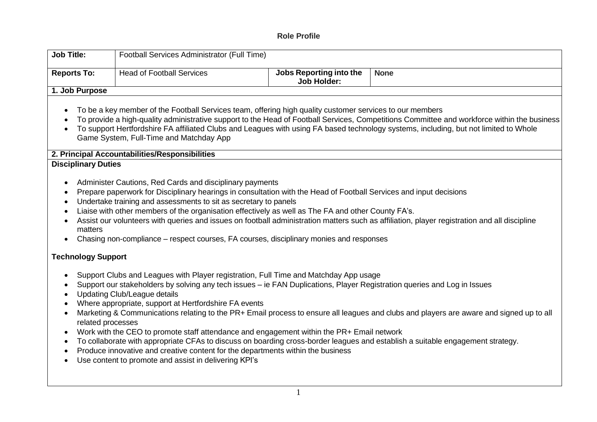## **Role Profile**

| <b>Job Title:</b>                                                                                                                                                                                                                                                                                                                                                                                                                                                                                                                                                                                                                                                                                                                                                                                                                                                                                                                                                                                                                                                                                                                                                      | Football Services Administrator (Full Time)                                                                                                                                                                                                                                                                                                                                                                                                                                                                                                               |                                               |                                                                                                                                                                                                                                                                           |  |  |
|------------------------------------------------------------------------------------------------------------------------------------------------------------------------------------------------------------------------------------------------------------------------------------------------------------------------------------------------------------------------------------------------------------------------------------------------------------------------------------------------------------------------------------------------------------------------------------------------------------------------------------------------------------------------------------------------------------------------------------------------------------------------------------------------------------------------------------------------------------------------------------------------------------------------------------------------------------------------------------------------------------------------------------------------------------------------------------------------------------------------------------------------------------------------|-----------------------------------------------------------------------------------------------------------------------------------------------------------------------------------------------------------------------------------------------------------------------------------------------------------------------------------------------------------------------------------------------------------------------------------------------------------------------------------------------------------------------------------------------------------|-----------------------------------------------|---------------------------------------------------------------------------------------------------------------------------------------------------------------------------------------------------------------------------------------------------------------------------|--|--|
| <b>Reports To:</b>                                                                                                                                                                                                                                                                                                                                                                                                                                                                                                                                                                                                                                                                                                                                                                                                                                                                                                                                                                                                                                                                                                                                                     | <b>Head of Football Services</b>                                                                                                                                                                                                                                                                                                                                                                                                                                                                                                                          | Jobs Reporting into the<br><b>Job Holder:</b> | <b>None</b>                                                                                                                                                                                                                                                               |  |  |
| 1. Job Purpose                                                                                                                                                                                                                                                                                                                                                                                                                                                                                                                                                                                                                                                                                                                                                                                                                                                                                                                                                                                                                                                                                                                                                         |                                                                                                                                                                                                                                                                                                                                                                                                                                                                                                                                                           |                                               |                                                                                                                                                                                                                                                                           |  |  |
| To be a key member of the Football Services team, offering high quality customer services to our members<br>$\bullet$<br>To provide a high-quality administrative support to the Head of Football Services, Competitions Committee and workforce within the business<br>To support Hertfordshire FA affiliated Clubs and Leagues with using FA based technology systems, including, but not limited to Whole<br>Game System, Full-Time and Matchday App<br>2. Principal Accountabilities/Responsibilities<br><b>Disciplinary Duties</b><br>Administer Cautions, Red Cards and disciplinary payments<br>Prepare paperwork for Disciplinary hearings in consultation with the Head of Football Services and input decisions<br>$\bullet$<br>Undertake training and assessments to sit as secretary to panels<br>Liaise with other members of the organisation effectively as well as The FA and other County FA's.<br>Assist our volunteers with queries and issues on football administration matters such as affiliation, player registration and all discipline<br>matters<br>Chasing non-compliance – respect courses, FA courses, disciplinary monies and responses |                                                                                                                                                                                                                                                                                                                                                                                                                                                                                                                                                           |                                               |                                                                                                                                                                                                                                                                           |  |  |
| <b>Technology Support</b>                                                                                                                                                                                                                                                                                                                                                                                                                                                                                                                                                                                                                                                                                                                                                                                                                                                                                                                                                                                                                                                                                                                                              |                                                                                                                                                                                                                                                                                                                                                                                                                                                                                                                                                           |                                               |                                                                                                                                                                                                                                                                           |  |  |
| $\bullet$<br>$\bullet$<br>related processes<br>$\bullet$<br>$\bullet$                                                                                                                                                                                                                                                                                                                                                                                                                                                                                                                                                                                                                                                                                                                                                                                                                                                                                                                                                                                                                                                                                                  | Support Clubs and Leagues with Player registration, Full Time and Matchday App usage<br>Support our stakeholders by solving any tech issues – ie FAN Duplications, Player Registration queries and Log in Issues<br><b>Updating Club/League details</b><br>Where appropriate, support at Hertfordshire FA events<br>Work with the CEO to promote staff attendance and engagement within the PR+ Email network<br>Produce innovative and creative content for the departments within the business<br>Use content to promote and assist in delivering KPI's |                                               | Marketing & Communications relating to the PR+ Email process to ensure all leagues and clubs and players are aware and signed up to all<br>To collaborate with appropriate CFAs to discuss on boarding cross-border leagues and establish a suitable engagement strategy. |  |  |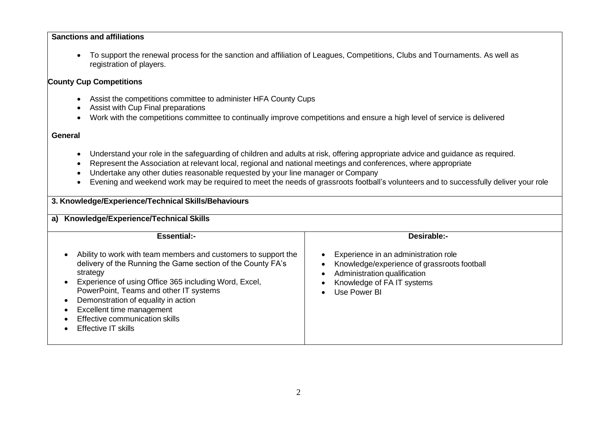## **Sanctions and affiliations**

• To support the renewal process for the sanction and affiliation of Leagues, Competitions, Clubs and Tournaments. As well as registration of players.

## **County Cup Competitions**

- Assist the competitions committee to administer HFA County Cups
- Assist with Cup Final preparations
- Work with the competitions committee to continually improve competitions and ensure a high level of service is delivered

## **General**

- Understand your role in the safeguarding of children and adults at risk, offering appropriate advice and guidance as required.
- Represent the Association at relevant local, regional and national meetings and conferences, where appropriate
- Undertake any other duties reasonable requested by your line manager or Company
- Evening and weekend work may be required to meet the needs of grassroots football's volunteers and to successfully deliver your role

| 3. Knowledge/Experience/Technical Skills/Behaviours                                                                                                                                                                                             |                                                                                                                               |                                                                                                                                                                   |  |  |  |
|-------------------------------------------------------------------------------------------------------------------------------------------------------------------------------------------------------------------------------------------------|-------------------------------------------------------------------------------------------------------------------------------|-------------------------------------------------------------------------------------------------------------------------------------------------------------------|--|--|--|
| a) Knowledge/Experience/Technical Skills                                                                                                                                                                                                        |                                                                                                                               |                                                                                                                                                                   |  |  |  |
|                                                                                                                                                                                                                                                 | <b>Essential:-</b>                                                                                                            | <b>Desirable:-</b>                                                                                                                                                |  |  |  |
| strategy<br>Experience of using Office 365 including Word, Excel,<br>PowerPoint, Teams and other IT systems<br>Demonstration of equality in action<br>Excellent time management<br>Effective communication skills<br><b>Effective IT skills</b> | Ability to work with team members and customers to support the<br>delivery of the Running the Game section of the County FA's | Experience in an administration role<br>Knowledge/experience of grassroots football<br>Administration qualification<br>Knowledge of FA IT systems<br>Use Power BI |  |  |  |